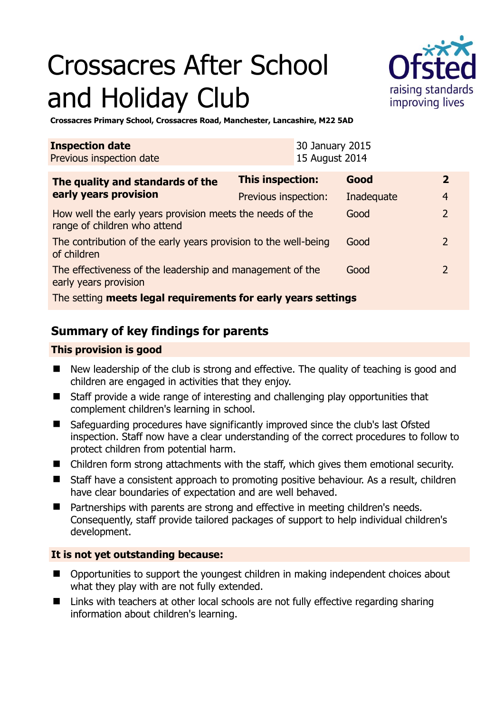# Crossacres After School and Holiday Club



**Crossacres Primary School, Crossacres Road, Manchester, Lancashire, M22 5AD** 

| <b>Inspection date</b><br>Previous inspection date                                        |                      | 30 January 2015<br>15 August 2014 |            |  |                |
|-------------------------------------------------------------------------------------------|----------------------|-----------------------------------|------------|--|----------------|
| The quality and standards of the<br>early years provision                                 | This inspection:     |                                   | Good       |  | $\mathbf{2}$   |
|                                                                                           | Previous inspection: |                                   | Inadequate |  | $\overline{4}$ |
| How well the early years provision meets the needs of the<br>range of children who attend |                      |                                   | Good       |  | $\overline{2}$ |
| The contribution of the early years provision to the well-being<br>of children            |                      |                                   | Good       |  | $\mathcal{L}$  |
| The effectiveness of the leadership and management of the<br>early years provision        |                      |                                   | Good       |  | $\mathcal{L}$  |
| The setting meets legal requirements for early years settings                             |                      |                                   |            |  |                |

# **Summary of key findings for parents**

## **This provision is good**

- New leadership of the club is strong and effective. The quality of teaching is good and children are engaged in activities that they enjoy.
- Staff provide a wide range of interesting and challenging play opportunities that complement children's learning in school.
- Safeguarding procedures have significantly improved since the club's last Ofsted inspection. Staff now have a clear understanding of the correct procedures to follow to protect children from potential harm.
- Children form strong attachments with the staff, which gives them emotional security.
- Staff have a consistent approach to promoting positive behaviour. As a result, children have clear boundaries of expectation and are well behaved.
- Partnerships with parents are strong and effective in meeting children's needs. Consequently, staff provide tailored packages of support to help individual children's development.

## **It is not yet outstanding because:**

- Opportunities to support the youngest children in making independent choices about what they play with are not fully extended.
- Links with teachers at other local schools are not fully effective regarding sharing information about children's learning.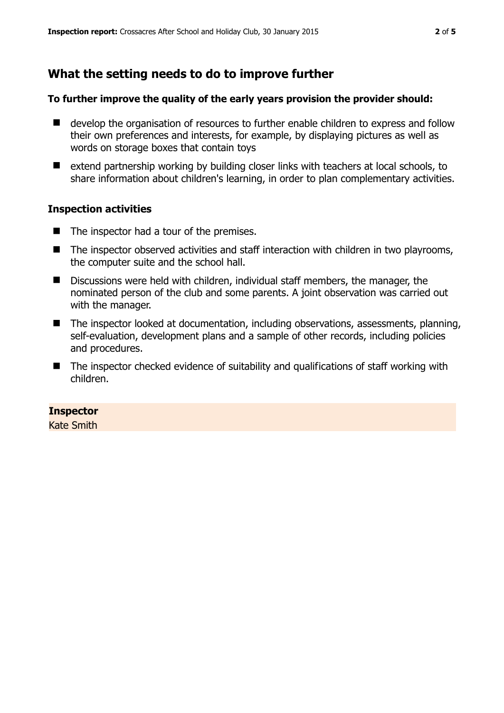# **What the setting needs to do to improve further**

### **To further improve the quality of the early years provision the provider should:**

- develop the organisation of resources to further enable children to express and follow their own preferences and interests, for example, by displaying pictures as well as words on storage boxes that contain toys
- extend partnership working by building closer links with teachers at local schools, to share information about children's learning, in order to plan complementary activities.

## **Inspection activities**

- $\blacksquare$  The inspector had a tour of the premises.
- The inspector observed activities and staff interaction with children in two playrooms, the computer suite and the school hall.
- Discussions were held with children, individual staff members, the manager, the nominated person of the club and some parents. A joint observation was carried out with the manager.
- The inspector looked at documentation, including observations, assessments, planning, self-evaluation, development plans and a sample of other records, including policies and procedures.
- The inspector checked evidence of suitability and qualifications of staff working with children.

## **Inspector**

Kate Smith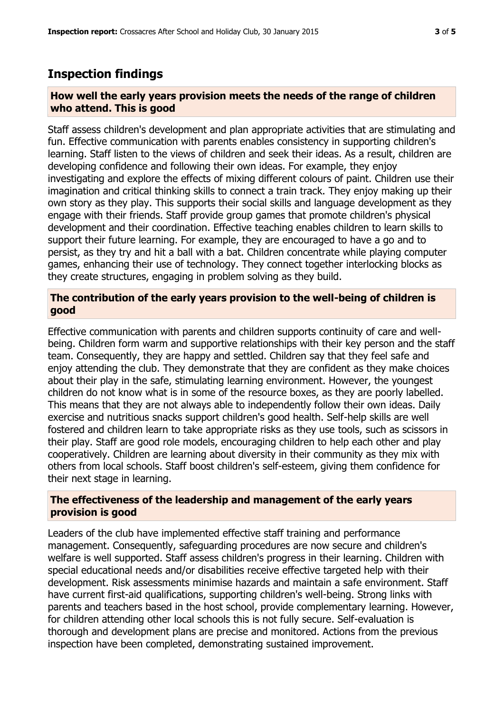# **Inspection findings**

### **How well the early years provision meets the needs of the range of children who attend. This is good**

Staff assess children's development and plan appropriate activities that are stimulating and fun. Effective communication with parents enables consistency in supporting children's learning. Staff listen to the views of children and seek their ideas. As a result, children are developing confidence and following their own ideas. For example, they enjoy investigating and explore the effects of mixing different colours of paint. Children use their imagination and critical thinking skills to connect a train track. They enjoy making up their own story as they play. This supports their social skills and language development as they engage with their friends. Staff provide group games that promote children's physical development and their coordination. Effective teaching enables children to learn skills to support their future learning. For example, they are encouraged to have a go and to persist, as they try and hit a ball with a bat. Children concentrate while playing computer games, enhancing their use of technology. They connect together interlocking blocks as they create structures, engaging in problem solving as they build.

### **The contribution of the early years provision to the well-being of children is good**

Effective communication with parents and children supports continuity of care and wellbeing. Children form warm and supportive relationships with their key person and the staff team. Consequently, they are happy and settled. Children say that they feel safe and enjoy attending the club. They demonstrate that they are confident as they make choices about their play in the safe, stimulating learning environment. However, the youngest children do not know what is in some of the resource boxes, as they are poorly labelled. This means that they are not always able to independently follow their own ideas. Daily exercise and nutritious snacks support children's good health. Self-help skills are well fostered and children learn to take appropriate risks as they use tools, such as scissors in their play. Staff are good role models, encouraging children to help each other and play cooperatively. Children are learning about diversity in their community as they mix with others from local schools. Staff boost children's self-esteem, giving them confidence for their next stage in learning.

#### **The effectiveness of the leadership and management of the early years provision is good**

Leaders of the club have implemented effective staff training and performance management. Consequently, safeguarding procedures are now secure and children's welfare is well supported. Staff assess children's progress in their learning. Children with special educational needs and/or disabilities receive effective targeted help with their development. Risk assessments minimise hazards and maintain a safe environment. Staff have current first-aid qualifications, supporting children's well-being. Strong links with parents and teachers based in the host school, provide complementary learning. However, for children attending other local schools this is not fully secure. Self-evaluation is thorough and development plans are precise and monitored. Actions from the previous inspection have been completed, demonstrating sustained improvement.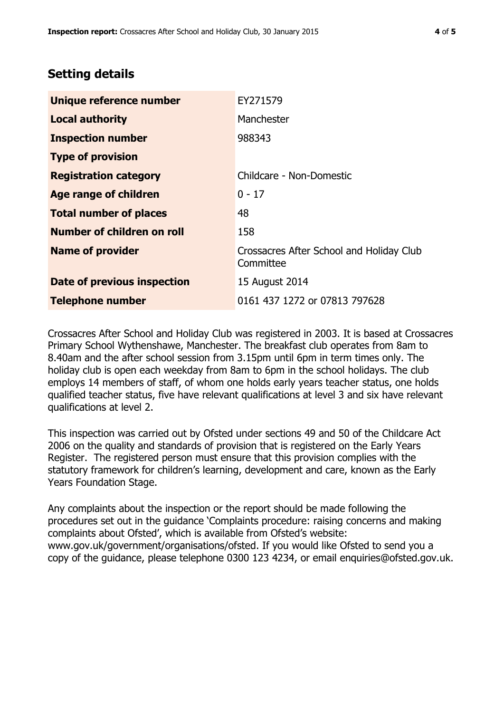# **Setting details**

| Unique reference number       | EY271579                                              |  |
|-------------------------------|-------------------------------------------------------|--|
| <b>Local authority</b>        | Manchester                                            |  |
| <b>Inspection number</b>      | 988343                                                |  |
| <b>Type of provision</b>      |                                                       |  |
| <b>Registration category</b>  | Childcare - Non-Domestic                              |  |
| Age range of children         | $0 - 17$                                              |  |
| <b>Total number of places</b> | 48                                                    |  |
| Number of children on roll    | 158                                                   |  |
| <b>Name of provider</b>       | Crossacres After School and Holiday Club<br>Committee |  |
| Date of previous inspection   | 15 August 2014                                        |  |
| <b>Telephone number</b>       | 0161 437 1272 or 07813 797628                         |  |

Crossacres After School and Holiday Club was registered in 2003. It is based at Crossacres Primary School Wythenshawe, Manchester. The breakfast club operates from 8am to 8.40am and the after school session from 3.15pm until 6pm in term times only. The holiday club is open each weekday from 8am to 6pm in the school holidays. The club employs 14 members of staff, of whom one holds early years teacher status, one holds qualified teacher status, five have relevant qualifications at level 3 and six have relevant qualifications at level 2.

This inspection was carried out by Ofsted under sections 49 and 50 of the Childcare Act 2006 on the quality and standards of provision that is registered on the Early Years Register. The registered person must ensure that this provision complies with the statutory framework for children's learning, development and care, known as the Early Years Foundation Stage.

Any complaints about the inspection or the report should be made following the procedures set out in the guidance 'Complaints procedure: raising concerns and making complaints about Ofsted', which is available from Ofsted's website: www.gov.uk/government/organisations/ofsted. If you would like Ofsted to send you a copy of the guidance, please telephone 0300 123 4234, or email enquiries@ofsted.gov.uk.